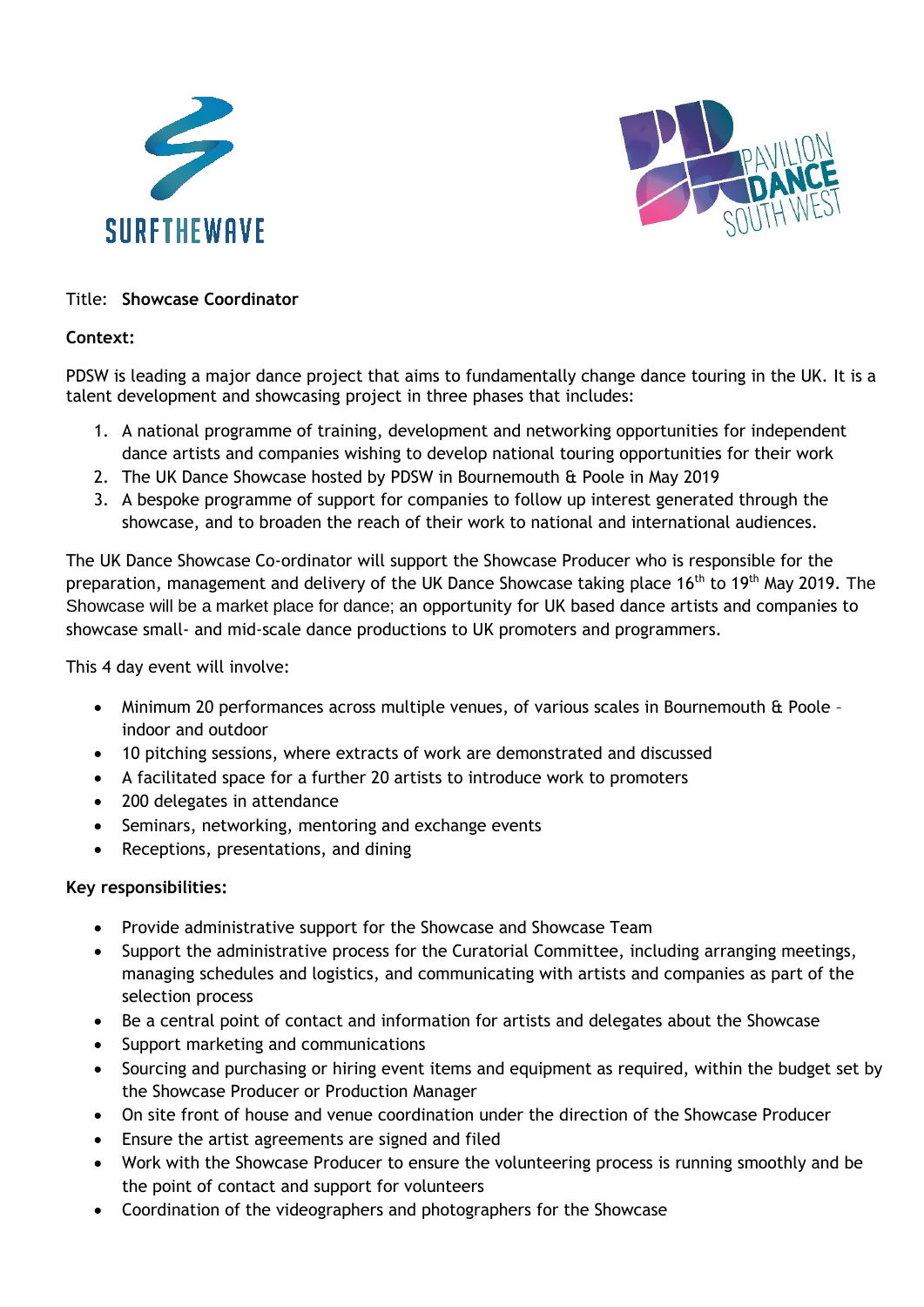



## Title: **Showcase Coordinator**

#### **Context:**

PDSW is leading a major dance project that aims to fundamentally change dance touring in the UK. It is a talent development and showcasing project in three phases that includes:

- 1. A national programme of training, development and networking opportunities for independent dance artists and companies wishing to develop national touring opportunities for their work
- 2. The UK Dance Showcase hosted by PDSW in Bournemouth & Poole in May 2019
- 3. A bespoke programme of support for companies to follow up interest generated through the showcase, and to broaden the reach of their work to national and international audiences.

The UK Dance Showcase Co-ordinator will support the Showcase Producer who is responsible for the preparation, management and delivery of the UK Dance Showcase taking place 16<sup>th</sup> to 19<sup>th</sup> May 2019. The Showcase will be a market place for dance; an opportunity for UK based dance artists and companies to showcase small- and mid-scale dance productions to UK promoters and programmers.

This 4 day event will involve:

- Minimum 20 performances across multiple venues, of various scales in Bournemouth & Poole indoor and outdoor
- 10 pitching sessions, where extracts of work are demonstrated and discussed
- A facilitated space for a further 20 artists to introduce work to promoters
- 200 delegates in attendance
- Seminars, networking, mentoring and exchange events
- Receptions, presentations, and dining

#### **Key responsibilities:**

- Provide administrative support for the Showcase and Showcase Team
- Support the administrative process for the Curatorial Committee, including arranging meetings, managing schedules and logistics, and communicating with artists and companies as part of the selection process
- Be a central point of contact and information for artists and delegates about the Showcase
- Support marketing and communications
- Sourcing and purchasing or hiring event items and equipment as required, within the budget set by the Showcase Producer or Production Manager
- On site front of house and venue coordination under the direction of the Showcase Producer
- Ensure the artist agreements are signed and filed
- Work with the Showcase Producer to ensure the volunteering process is running smoothly and be the point of contact and support for volunteers
- Coordination of the videographers and photographers for the Showcase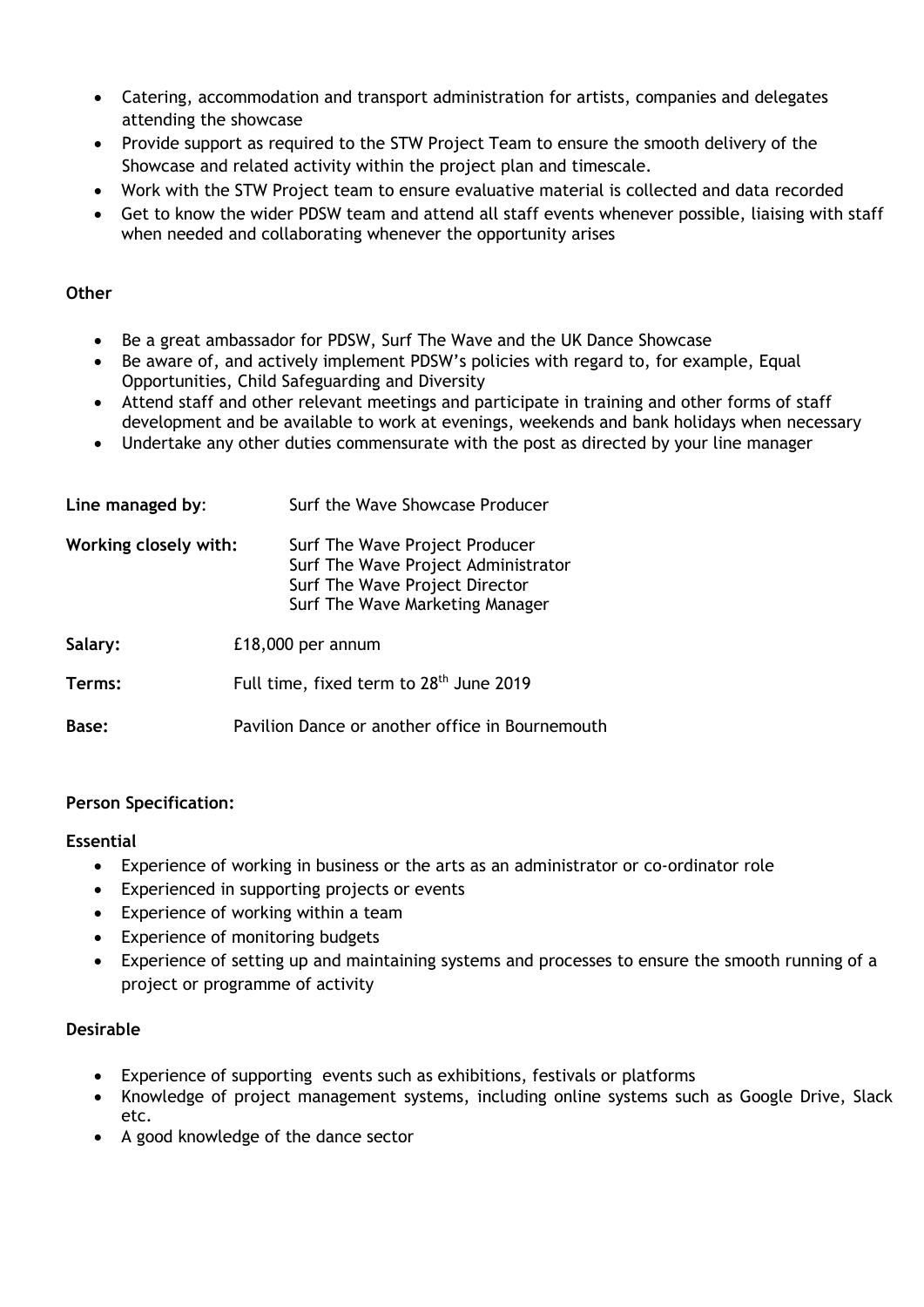- Catering, accommodation and transport administration for artists, companies and delegates attending the showcase
- Provide support as required to the STW Project Team to ensure the smooth delivery of the Showcase and related activity within the project plan and timescale.
- Work with the STW Project team to ensure evaluative material is collected and data recorded
- Get to know the wider PDSW team and attend all staff events whenever possible, liaising with staff when needed and collaborating whenever the opportunity arises

## **Other**

- Be a great ambassador for PDSW, Surf The Wave and the UK Dance Showcase
- Be aware of, and actively implement PDSW's policies with regard to, for example, Equal Opportunities, Child Safeguarding and Diversity
- Attend staff and other relevant meetings and participate in training and other forms of staff development and be available to work at evenings, weekends and bank holidays when necessary
- Undertake any other duties commensurate with the post as directed by your line manager

| Line managed by:      | Surf the Wave Showcase Producer                                                                                                            |
|-----------------------|--------------------------------------------------------------------------------------------------------------------------------------------|
| Working closely with: | Surf The Wave Project Producer<br>Surf The Wave Project Administrator<br>Surf The Wave Project Director<br>Surf The Wave Marketing Manager |
| Salary:               | £18,000 per annum                                                                                                                          |
| Terms:                | Full time, fixed term to 28 <sup>th</sup> June 2019                                                                                        |
| Base:                 | Pavilion Dance or another office in Bournemouth                                                                                            |

#### **Person Specification:**

#### **Essential**

- Experience of working in business or the arts as an administrator or co-ordinator role
- Experienced in supporting projects or events
- Experience of working within a team
- Experience of monitoring budgets
- Experience of setting up and maintaining systems and processes to ensure the smooth running of a project or programme of activity

#### **Desirable**

- Experience of supporting events such as exhibitions, festivals or platforms
- Knowledge of project management systems, including online systems such as Google Drive, Slack etc.
- A good knowledge of the dance sector